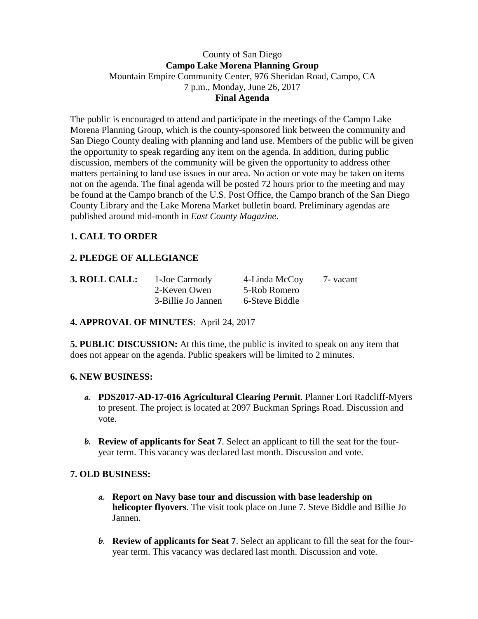#### County of San Diego **Campo Lake Morena Planning Group** Mountain Empire Community Center, 976 Sheridan Road, Campo, CA 7 p.m., Monday, June 26, 2017 **Final Agenda**

The public is encouraged to attend and participate in the meetings of the Campo Lake Morena Planning Group, which is the county-sponsored link between the community and San Diego County dealing with planning and land use. Members of the public will be given the opportunity to speak regarding any item on the agenda. In addition, during public discussion, members of the community will be given the opportunity to address other matters pertaining to land use issues in our area. No action or vote may be taken on items not on the agenda. The final agenda will be posted 72 hours prior to the meeting and may be found at the Campo branch of the U.S. Post Office, the Campo branch of the San Diego County Library and the Lake Morena Market bulletin board. Preliminary agendas are published around mid-month in *East County Magazine*.

## **1. CALL TO ORDER**

# **2. PLEDGE OF ALLEGIANCE**

| 3. ROLL CALL: | 1-Joe Carmody      | 4-Linda McCoy  | 7 - vacant |
|---------------|--------------------|----------------|------------|
|               | 2-Keven Owen       | 5-Rob Romero   |            |
|               | 3-Billie Jo Jannen | 6-Steve Biddle |            |

#### **4. APPROVAL OF MINUTES**: April 24, 2017

**5. PUBLIC DISCUSSION:** At this time, the public is invited to speak on any item that does not appear on the agenda. Public speakers will be limited to 2 minutes.

#### **6. NEW BUSINESS:**

- **a. PDS2017-AD-17-016 Agricultural Clearing Permit**. Planner Lori Radcliff-Myers to present. The project is located at 2097 Buckman Springs Road. Discussion and vote.
- **b. Review of applicants for Seat 7**. Select an applicant to fill the seat for the fouryear term. This vacancy was declared last month. Discussion and vote.

## **7. OLD BUSINESS:**

- **a. Report on Navy base tour and discussion with base leadership on helicopter flyovers**. The visit took place on June 7. Steve Biddle and Billie Jo Jannen.
- **b. Review of applicants for Seat 7**. Select an applicant to fill the seat for the fouryear term. This vacancy was declared last month. Discussion and vote.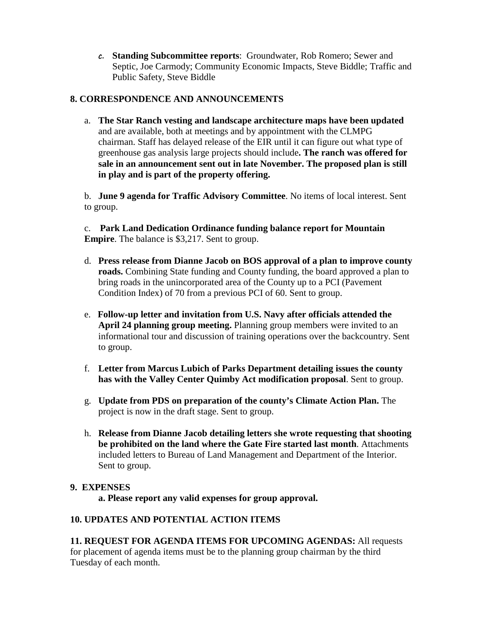**c. Standing Subcommittee reports**: Groundwater, Rob Romero; Sewer and Septic, Joe Carmody; Community Economic Impacts, Steve Biddle; Traffic and Public Safety, Steve Biddle

### **8. CORRESPONDENCE AND ANNOUNCEMENTS**

a. **The Star Ranch vesting and landscape architecture maps have been updated**  and are available, both at meetings and by appointment with the CLMPG chairman. Staff has delayed release of the EIR until it can figure out what type of greenhouse gas analysis large projects should include**. The ranch was offered for sale in an announcement sent out in late November. The proposed plan is still in play and is part of the property offering.**

b. **June 9 agenda for Traffic Advisory Committee**. No items of local interest. Sent to group.

c. **Park Land Dedication Ordinance funding balance report for Mountain Empire**. The balance is \$3,217. Sent to group.

- d. **Press release from Dianne Jacob on BOS approval of a plan to improve county roads.** Combining State funding and County funding, the board approved a plan to bring roads in the unincorporated area of the County up to a PCI (Pavement Condition Index) of 70 from a previous PCI of 60. Sent to group.
- e. **Follow-up letter and invitation from U.S. Navy after officials attended the April 24 planning group meeting.** Planning group members were invited to an informational tour and discussion of training operations over the backcountry. Sent to group.
- f. **Letter from Marcus Lubich of Parks Department detailing issues the county has with the Valley Center Quimby Act modification proposal**. Sent to group.
- g. **Update from PDS on preparation of the county's Climate Action Plan.** The project is now in the draft stage. Sent to group.
- h. **Release from Dianne Jacob detailing letters she wrote requesting that shooting be prohibited on the land where the Gate Fire started last month**. Attachments included letters to Bureau of Land Management and Department of the Interior. Sent to group.

#### **9. EXPENSES**

**a. Please report any valid expenses for group approval.**

#### **10. UPDATES AND POTENTIAL ACTION ITEMS**

**11. REQUEST FOR AGENDA ITEMS FOR UPCOMING AGENDAS:** All requests for placement of agenda items must be to the planning group chairman by the third Tuesday of each month.